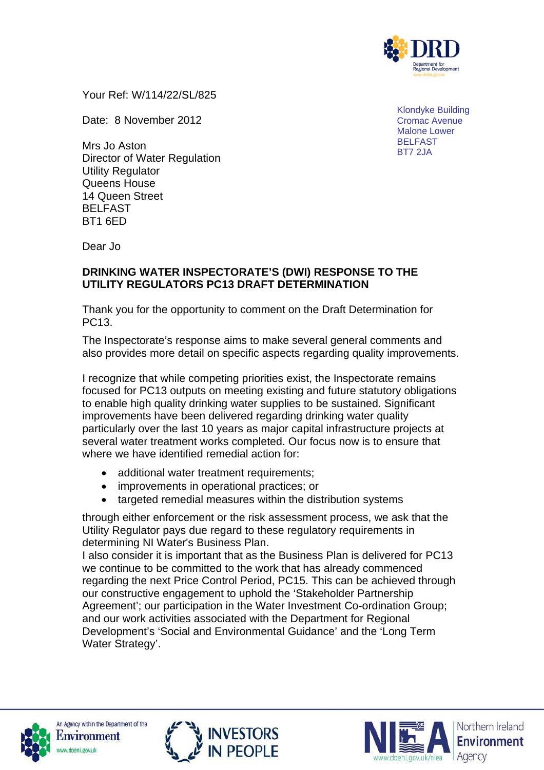

Your Ref: W/114/22/SL/825

Date: 8 November 2012

Mrs Jo Aston Director of Water Regulation Utility Regulator Queens House 14 Queen Street BELFAST BT1 6ED

Klondyke Building Cromac Avenue Malone Lower BELFAST BT7 2JA

Dear Jo

### **DRINKING WATER INSPECTORATE'S (DWI) RESPONSE TO THE UTILITY REGULATORS PC13 DRAFT DETERMINATION**

Thank you for the opportunity to comment on the Draft Determination for PC13.

The Inspectorate's response aims to make several general comments and also provides more detail on specific aspects regarding quality improvements.

I recognize that while competing priorities exist, the Inspectorate remains focused for PC13 outputs on meeting existing and future statutory obligations to enable high quality drinking water supplies to be sustained. Significant improvements have been delivered regarding drinking water quality particularly over the last 10 years as major capital infrastructure projects at several water treatment works completed. Our focus now is to ensure that where we have identified remedial action for:

- additional water treatment requirements;
- improvements in operational practices; or
- targeted remedial measures within the distribution systems

through either enforcement or the risk assessment process, we ask that the Utility Regulator pays due regard to these regulatory requirements in determining NI Water's Business Plan.

I also consider it is important that as the Business Plan is delivered for PC13 we continue to be committed to the work that has already commenced regarding the next Price Control Period, PC15. This can be achieved through our constructive engagement to uphold the 'Stakeholder Partnership Agreement'; our participation in the Water Investment Co-ordination Group; and our work activities associated with the Department for Regional Development's 'Social and Environmental Guidance' and the 'Long Term Water Strategy'.





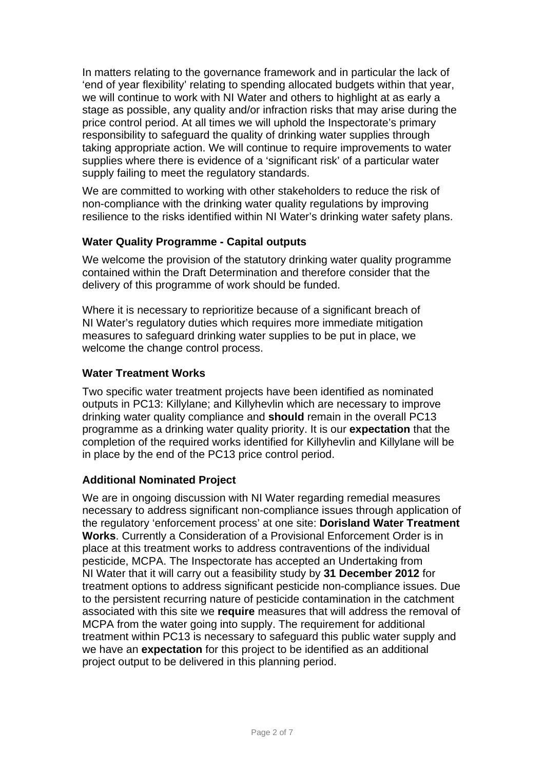In matters relating to the governance framework and in particular the lack of 'end of year flexibility' relating to spending allocated budgets within that year, we will continue to work with NI Water and others to highlight at as early a stage as possible, any quality and/or infraction risks that may arise during the price control period. At all times we will uphold the Inspectorate's primary responsibility to safeguard the quality of drinking water supplies through taking appropriate action. We will continue to require improvements to water supplies where there is evidence of a 'significant risk' of a particular water supply failing to meet the regulatory standards.

We are committed to working with other stakeholders to reduce the risk of non-compliance with the drinking water quality regulations by improving resilience to the risks identified within NI Water's drinking water safety plans.

### **Water Quality Programme - Capital outputs**

We welcome the provision of the statutory drinking water quality programme contained within the Draft Determination and therefore consider that the delivery of this programme of work should be funded.

Where it is necessary to reprioritize because of a significant breach of NI Water's regulatory duties which requires more immediate mitigation measures to safeguard drinking water supplies to be put in place, we welcome the change control process.

#### **Water Treatment Works**

Two specific water treatment projects have been identified as nominated outputs in PC13: Killylane; and Killyhevlin which are necessary to improve drinking water quality compliance and **should** remain in the overall PC13 programme as a drinking water quality priority. It is our **expectation** that the completion of the required works identified for Killyhevlin and Killylane will be in place by the end of the PC13 price control period.

#### **Additional Nominated Project**

We are in ongoing discussion with NI Water regarding remedial measures necessary to address significant non-compliance issues through application of the regulatory 'enforcement process' at one site: **Dorisland Water Treatment Works**. Currently a Consideration of a Provisional Enforcement Order is in place at this treatment works to address contraventions of the individual pesticide, MCPA. The Inspectorate has accepted an Undertaking from NI Water that it will carry out a feasibility study by **31 December 2012** for treatment options to address significant pesticide non-compliance issues. Due to the persistent recurring nature of pesticide contamination in the catchment associated with this site we **require** measures that will address the removal of MCPA from the water going into supply. The requirement for additional treatment within PC13 is necessary to safeguard this public water supply and we have an **expectation** for this project to be identified as an additional project output to be delivered in this planning period.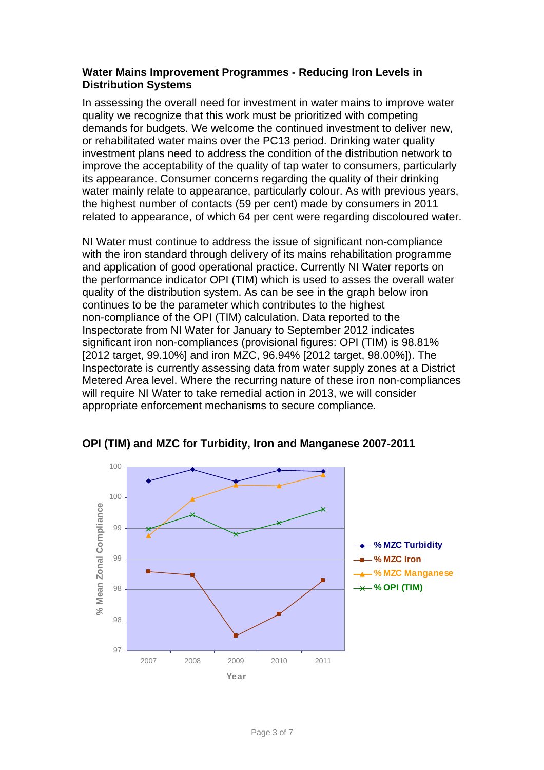#### **Water Mains Improvement Programmes - Reducing Iron Levels in Distribution Systems**

In assessing the overall need for investment in water mains to improve water quality we recognize that this work must be prioritized with competing demands for budgets. We welcome the continued investment to deliver new, or rehabilitated water mains over the PC13 period. Drinking water quality investment plans need to address the condition of the distribution network to improve the acceptability of the quality of tap water to consumers, particularly its appearance. Consumer concerns regarding the quality of their drinking water mainly relate to appearance, particularly colour. As with previous years, the highest number of contacts (59 per cent) made by consumers in 2011 related to appearance, of which 64 per cent were regarding discoloured water.

NI Water must continue to address the issue of significant non-compliance with the iron standard through delivery of its mains rehabilitation programme and application of good operational practice. Currently NI Water reports on the performance indicator OPI (TIM) which is used to asses the overall water quality of the distribution system. As can be see in the graph below iron continues to be the parameter which contributes to the highest non-compliance of the OPI (TIM) calculation. Data reported to the Inspectorate from NI Water for January to September 2012 indicates significant iron non-compliances (provisional figures: OPI (TIM) is 98.81% [2012 target, 99.10%] and iron MZC, 96.94% [2012 target, 98.00%]). The Inspectorate is currently assessing data from water supply zones at a District Metered Area level. Where the recurring nature of these iron non-compliances will require NI Water to take remedial action in 2013, we will consider appropriate enforcement mechanisms to secure compliance.



**OPI (TIM) and MZC for Turbidity, Iron and Manganese 2007-2011**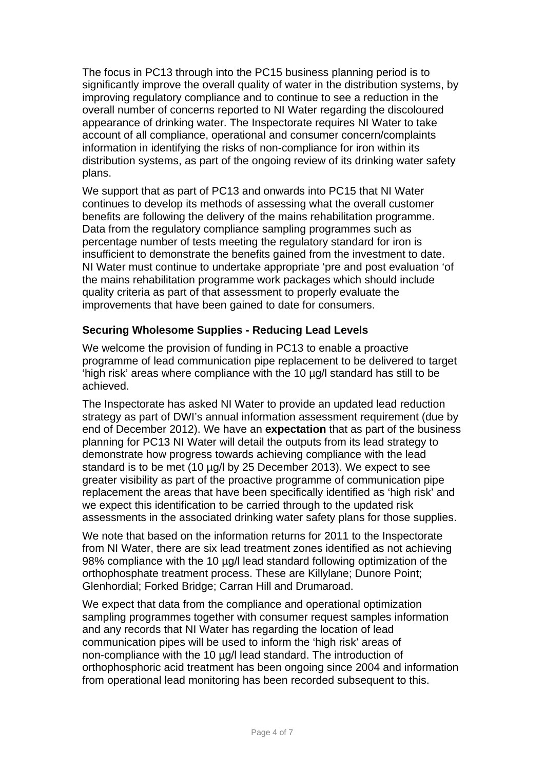The focus in PC13 through into the PC15 business planning period is to significantly improve the overall quality of water in the distribution systems, by improving regulatory compliance and to continue to see a reduction in the overall number of concerns reported to NI Water regarding the discoloured appearance of drinking water. The Inspectorate requires NI Water to take account of all compliance, operational and consumer concern/complaints information in identifying the risks of non-compliance for iron within its distribution systems, as part of the ongoing review of its drinking water safety plans.

We support that as part of PC13 and onwards into PC15 that NI Water continues to develop its methods of assessing what the overall customer benefits are following the delivery of the mains rehabilitation programme. Data from the regulatory compliance sampling programmes such as percentage number of tests meeting the regulatory standard for iron is insufficient to demonstrate the benefits gained from the investment to date. NI Water must continue to undertake appropriate 'pre and post evaluation 'of the mains rehabilitation programme work packages which should include quality criteria as part of that assessment to properly evaluate the improvements that have been gained to date for consumers.

### **Securing Wholesome Supplies - Reducing Lead Levels**

We welcome the provision of funding in PC13 to enable a proactive programme of lead communication pipe replacement to be delivered to target 'high risk' areas where compliance with the 10 µg/l standard has still to be achieved.

The Inspectorate has asked NI Water to provide an updated lead reduction strategy as part of DWI's annual information assessment requirement (due by end of December 2012). We have an **expectation** that as part of the business planning for PC13 NI Water will detail the outputs from its lead strategy to demonstrate how progress towards achieving compliance with the lead standard is to be met (10 µg/l by 25 December 2013). We expect to see greater visibility as part of the proactive programme of communication pipe replacement the areas that have been specifically identified as 'high risk' and we expect this identification to be carried through to the updated risk assessments in the associated drinking water safety plans for those supplies.

We note that based on the information returns for 2011 to the Inspectorate from NI Water, there are six lead treatment zones identified as not achieving 98% compliance with the 10 µg/l lead standard following optimization of the orthophosphate treatment process. These are Killylane; Dunore Point; Glenhordial; Forked Bridge; Carran Hill and Drumaroad.

We expect that data from the compliance and operational optimization sampling programmes together with consumer request samples information and any records that NI Water has regarding the location of lead communication pipes will be used to inform the 'high risk' areas of non-compliance with the 10 µg/l lead standard. The introduction of orthophosphoric acid treatment has been ongoing since 2004 and information from operational lead monitoring has been recorded subsequent to this.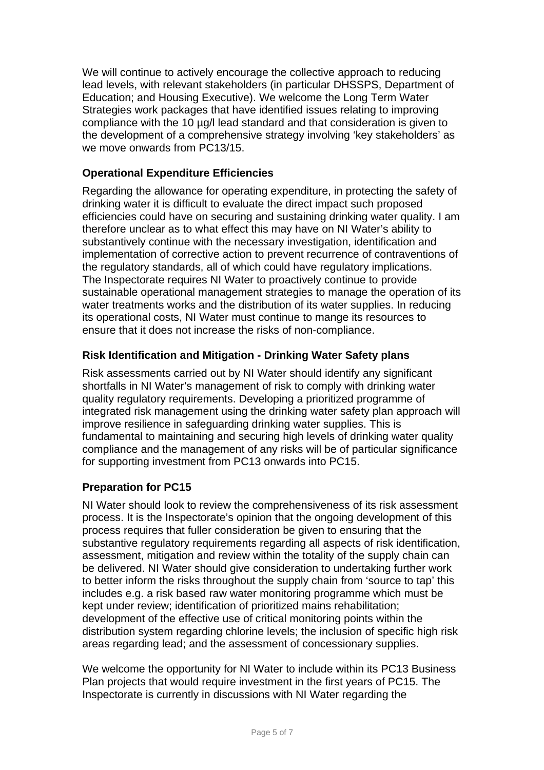We will continue to actively encourage the collective approach to reducing lead levels, with relevant stakeholders (in particular DHSSPS, Department of Education; and Housing Executive). We welcome the Long Term Water Strategies work packages that have identified issues relating to improving compliance with the 10 µg/l lead standard and that consideration is given to the development of a comprehensive strategy involving 'key stakeholders' as we move onwards from PC13/15.

# **Operational Expenditure Efficiencies**

Regarding the allowance for operating expenditure, in protecting the safety of drinking water it is difficult to evaluate the direct impact such proposed efficiencies could have on securing and sustaining drinking water quality. I am therefore unclear as to what effect this may have on NI Water's ability to substantively continue with the necessary investigation, identification and implementation of corrective action to prevent recurrence of contraventions of the regulatory standards, all of which could have regulatory implications. The Inspectorate requires NI Water to proactively continue to provide sustainable operational management strategies to manage the operation of its water treatments works and the distribution of its water supplies. In reducing its operational costs, NI Water must continue to mange its resources to ensure that it does not increase the risks of non-compliance.

# **Risk Identification and Mitigation - Drinking Water Safety plans**

Risk assessments carried out by NI Water should identify any significant shortfalls in NI Water's management of risk to comply with drinking water quality regulatory requirements. Developing a prioritized programme of integrated risk management using the drinking water safety plan approach will improve resilience in safeguarding drinking water supplies. This is fundamental to maintaining and securing high levels of drinking water quality compliance and the management of any risks will be of particular significance for supporting investment from PC13 onwards into PC15.

# **Preparation for PC15**

NI Water should look to review the comprehensiveness of its risk assessment process. It is the Inspectorate's opinion that the ongoing development of this process requires that fuller consideration be given to ensuring that the substantive regulatory requirements regarding all aspects of risk identification, assessment, mitigation and review within the totality of the supply chain can be delivered. NI Water should give consideration to undertaking further work to better inform the risks throughout the supply chain from 'source to tap' this includes e.g. a risk based raw water monitoring programme which must be kept under review; identification of prioritized mains rehabilitation; development of the effective use of critical monitoring points within the distribution system regarding chlorine levels; the inclusion of specific high risk areas regarding lead; and the assessment of concessionary supplies.

We welcome the opportunity for NI Water to include within its PC13 Business Plan projects that would require investment in the first years of PC15. The Inspectorate is currently in discussions with NI Water regarding the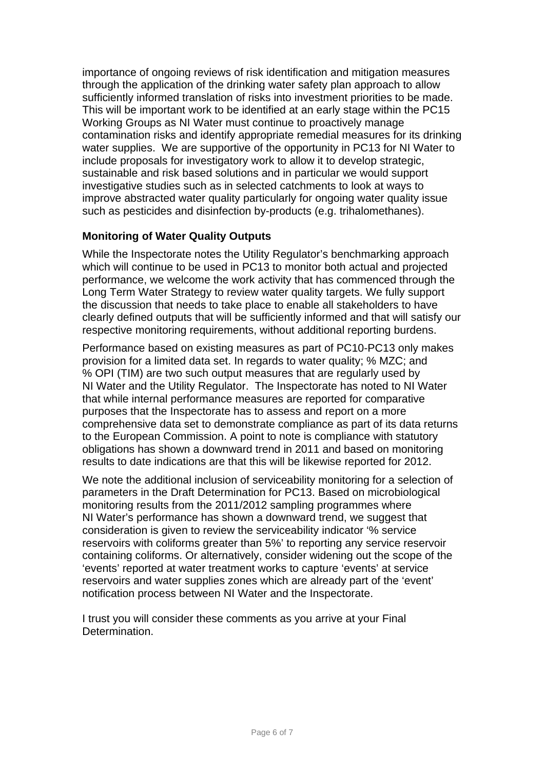importance of ongoing reviews of risk identification and mitigation measures through the application of the drinking water safety plan approach to allow sufficiently informed translation of risks into investment priorities to be made. This will be important work to be identified at an early stage within the PC15 Working Groups as NI Water must continue to proactively manage contamination risks and identify appropriate remedial measures for its drinking water supplies. We are supportive of the opportunity in PC13 for NI Water to include proposals for investigatory work to allow it to develop strategic, sustainable and risk based solutions and in particular we would support investigative studies such as in selected catchments to look at ways to improve abstracted water quality particularly for ongoing water quality issue such as pesticides and disinfection by-products (e.g. trihalomethanes).

# **Monitoring of Water Quality Outputs**

While the Inspectorate notes the Utility Regulator's benchmarking approach which will continue to be used in PC13 to monitor both actual and projected performance, we welcome the work activity that has commenced through the Long Term Water Strategy to review water quality targets. We fully support the discussion that needs to take place to enable all stakeholders to have clearly defined outputs that will be sufficiently informed and that will satisfy our respective monitoring requirements, without additional reporting burdens.

Performance based on existing measures as part of PC10-PC13 only makes provision for a limited data set. In regards to water quality; % MZC; and % OPI (TIM) are two such output measures that are regularly used by NI Water and the Utility Regulator. The Inspectorate has noted to NI Water that while internal performance measures are reported for comparative purposes that the Inspectorate has to assess and report on a more comprehensive data set to demonstrate compliance as part of its data returns to the European Commission. A point to note is compliance with statutory obligations has shown a downward trend in 2011 and based on monitoring results to date indications are that this will be likewise reported for 2012.

We note the additional inclusion of serviceability monitoring for a selection of parameters in the Draft Determination for PC13. Based on microbiological monitoring results from the 2011/2012 sampling programmes where NI Water's performance has shown a downward trend, we suggest that consideration is given to review the serviceability indicator '% service reservoirs with coliforms greater than 5%' to reporting any service reservoir containing coliforms. Or alternatively, consider widening out the scope of the 'events' reported at water treatment works to capture 'events' at service reservoirs and water supplies zones which are already part of the 'event' notification process between NI Water and the Inspectorate.

I trust you will consider these comments as you arrive at your Final Determination.